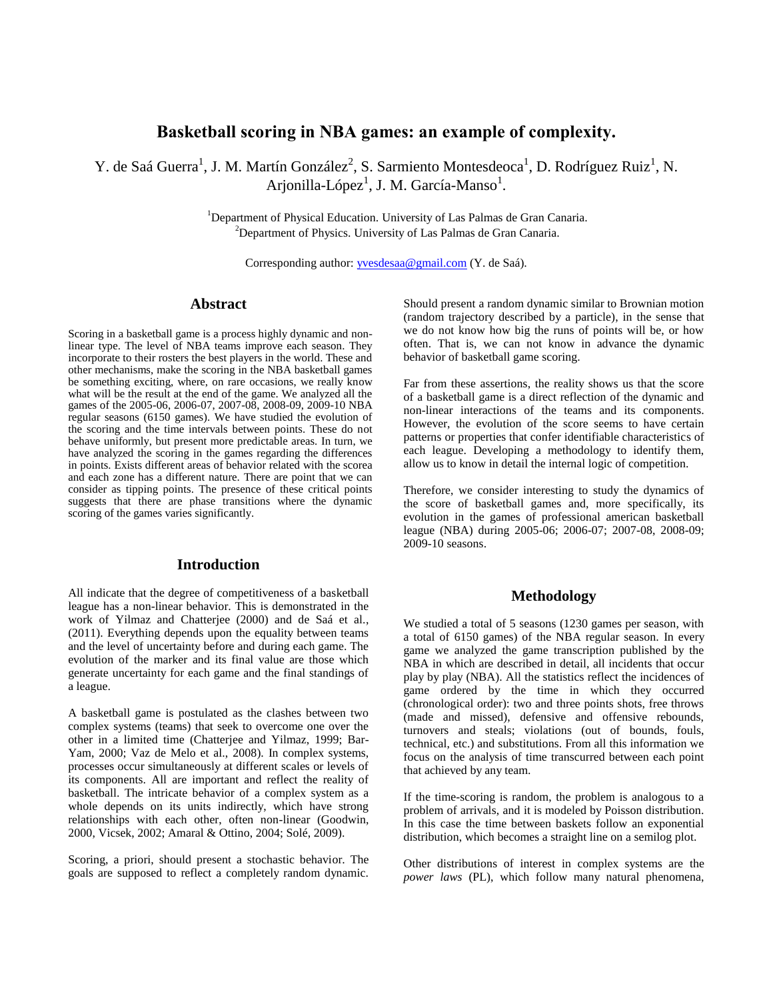# **Basketball scoring in NBA games: an example of complexity.**

Y. de Saá Guerra<sup>1</sup>, J. M. Martín González<sup>2</sup>, S. Sarmiento Montesdeoca<sup>1</sup>, D. Rodríguez Ruiz<sup>1</sup>, N. Arjonilla-López<sup>1</sup>, J. M. García-Manso<sup>1</sup>.

> <sup>1</sup>Department of Physical Education. University of Las Palmas de Gran Canaria.  $2$ Department of Physics. University of Las Palmas de Gran Canaria.

Corresponding author: [yvesdesaa@gmail.com](mailto:yvesdesaa@gmail.com) (Y. de Saá).

### **Abstract**

Scoring in a basketball game is a process highly dynamic and nonlinear type. The level of NBA teams improve each season. They incorporate to their rosters the best players in the world. These and other mechanisms, make the scoring in the NBA basketball games be something exciting, where, on rare occasions, we really know what will be the result at the end of the game. We analyzed all the games of the 2005-06, 2006-07, 2007-08, 2008-09, 2009-10 NBA regular seasons (6150 games). We have studied the evolution of the scoring and the time intervals between points. These do not behave uniformly, but present more predictable areas. In turn, we have analyzed the scoring in the games regarding the differences in points. Exists different areas of behavior related with the scorea and each zone has a different nature. There are point that we can consider as tipping points. The presence of these critical points suggests that there are phase transitions where the dynamic scoring of the games varies significantly.

# **Introduction**

All indicate that the degree of competitiveness of a basketball league has a non-linear behavior. This is demonstrated in the work of Yilmaz and Chatterjee (2000) and de Saá et al., (2011). Everything depends upon the equality between teams and the level of uncertainty before and during each game. The evolution of the marker and its final value are those which generate uncertainty for each game and the final standings of a league.

A basketball game is postulated as the clashes between two complex systems (teams) that seek to overcome one over the other in a limited time (Chatterjee and Yilmaz, 1999; Bar-Yam, 2000; Vaz de Melo et al., 2008). In complex systems, processes occur simultaneously at different scales or levels of its components. All are important and reflect the reality of basketball. The intricate behavior of a complex system as a whole depends on its units indirectly, which have strong relationships with each other, often non-linear (Goodwin, 2000, Vicsek, 2002; Amaral & Ottino, 2004; Solé, 2009).

Scoring, a priori, should present a stochastic behavior. The goals are supposed to reflect a completely random dynamic. Should present a random dynamic similar to Brownian motion (random trajectory described by a particle), in the sense that we do not know how big the runs of points will be, or how often. That is, we can not know in advance the dynamic behavior of basketball game scoring.

Far from these assertions, the reality shows us that the score of a basketball game is a direct reflection of the dynamic and non-linear interactions of the teams and its components. However, the evolution of the score seems to have certain patterns or properties that confer identifiable characteristics of each league. Developing a methodology to identify them, allow us to know in detail the internal logic of competition.

Therefore, we consider interesting to study the dynamics of the score of basketball games and, more specifically, its evolution in the games of professional american basketball league (NBA) during 2005-06; 2006-07; 2007-08, 2008-09; 2009-10 seasons.

### **Methodology**

We studied a total of 5 seasons (1230 games per season, with a total of 6150 games) of the NBA regular season. In every game we analyzed the game transcription published by the NBA in which are described in detail, all incidents that occur play by play (NBA). All the statistics reflect the incidences of game ordered by the time in which they occurred (chronological order): two and three points shots, free throws (made and missed), defensive and offensive rebounds, turnovers and steals; violations (out of bounds, fouls, technical, etc.) and substitutions. From all this information we focus on the analysis of time transcurred between each point that achieved by any team.

If the time-scoring is random, the problem is analogous to a problem of arrivals, and it is modeled by Poisson distribution. In this case the time between baskets follow an exponential distribution, which becomes a straight line on a semilog plot.

Other distributions of interest in complex systems are the *power laws* (PL), which follow many natural phenomena,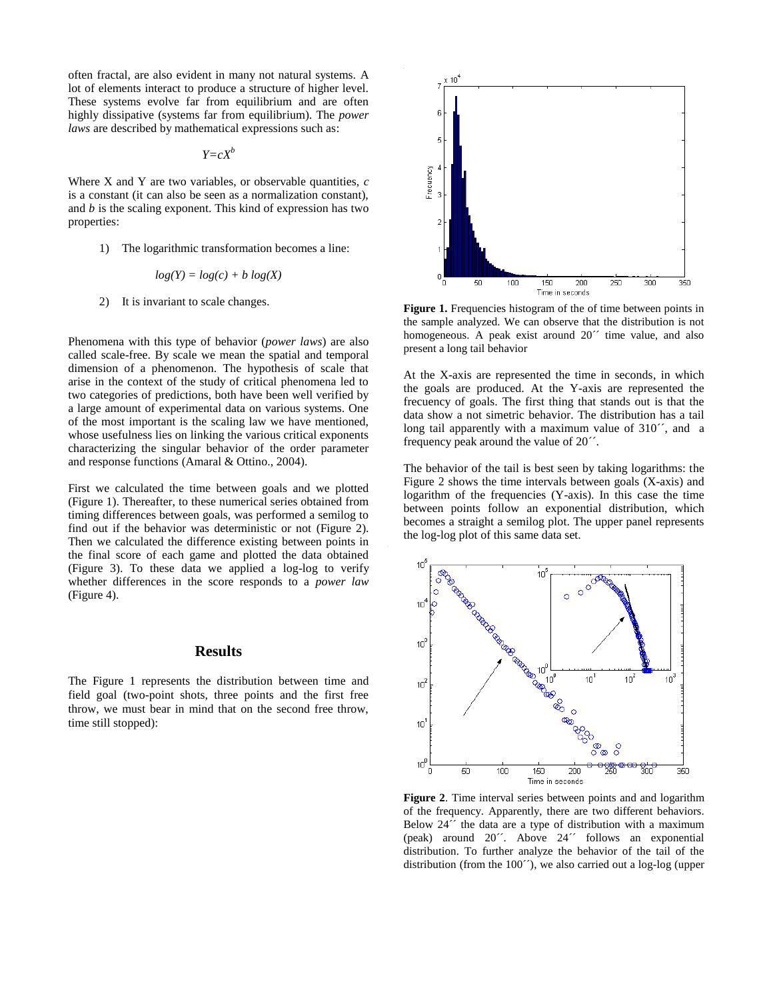often fractal, are also evident in many not natural systems. A lot of elements interact to produce a structure of higher level. These systems evolve far from equilibrium and are often highly dissipative (systems far from equilibrium). The *power laws* are described by mathematical expressions such as:

*Y=cX<sup>b</sup>*

Where X and Y are two variables, or observable quantities, *c* is a constant (it can also be seen as a normalization constant), and *b* is the scaling exponent. This kind of expression has two properties:

1) The logarithmic transformation becomes a line:

$$
log(Y) = log(c) + b log(X)
$$

2) It is invariant to scale changes.

Phenomena with this type of behavior (*power laws*) are also called scale-free. By scale we mean the spatial and temporal dimension of a phenomenon. The hypothesis of scale that arise in the context of the study of critical phenomena led to two categories of predictions, both have been well verified by a large amount of experimental data on various systems. One of the most important is the scaling law we have mentioned, whose usefulness lies on linking the various critical exponents characterizing the singular behavior of the order parameter and response functions (Amaral & Ottino., 2004).

First we calculated the time between goals and we plotted (Figure 1). Thereafter, to these numerical series obtained from timing differences between goals, was performed a semilog to find out if the behavior was deterministic or not (Figure 2). Then we calculated the difference existing between points in the final score of each game and plotted the data obtained (Figure 3). To these data we applied a log-log to verify whether differences in the score responds to a *power law* (Figure 4).

#### **Results**

The Figure 1 represents the distribution between time and field goal (two-point shots, three points and the first free throw, we must bear in mind that on the second free throw, time still stopped):



**Figure 1.** Frequencies histogram of the of time between points in the sample analyzed. We can observe that the distribution is not homogeneous. A peak exist around 20<sup> $\degree$ </sup> time value, and also present a long tail behavior

At the X-axis are represented the time in seconds, in which the goals are produced. At the Y-axis are represented the frecuency of goals. The first thing that stands out is that the data show a not simetric behavior. The distribution has a tail long tail apparently with a maximum value of 310<sup>o</sup>, and a frequency peak around the value of 20´´.

The behavior of the tail is best seen by taking logarithms: the Figure 2 shows the time intervals between goals (X-axis) and logarithm of the frequencies (Y-axis). In this case the time between points follow an exponential distribution, which becomes a straight a semilog plot. The upper panel represents the log-log plot of this same data set.



**Figure 2**. Time interval series between points and and logarithm of the frequency. Apparently, there are two different behaviors. Below 24<sup> $\cdot\cdot$ </sup> the data are a type of distribution with a maximum (peak) around 20´´. Above 24´´ follows an exponential distribution. To further analyze the behavior of the tail of the distribution (from the 100´´), we also carried out a log-log (upper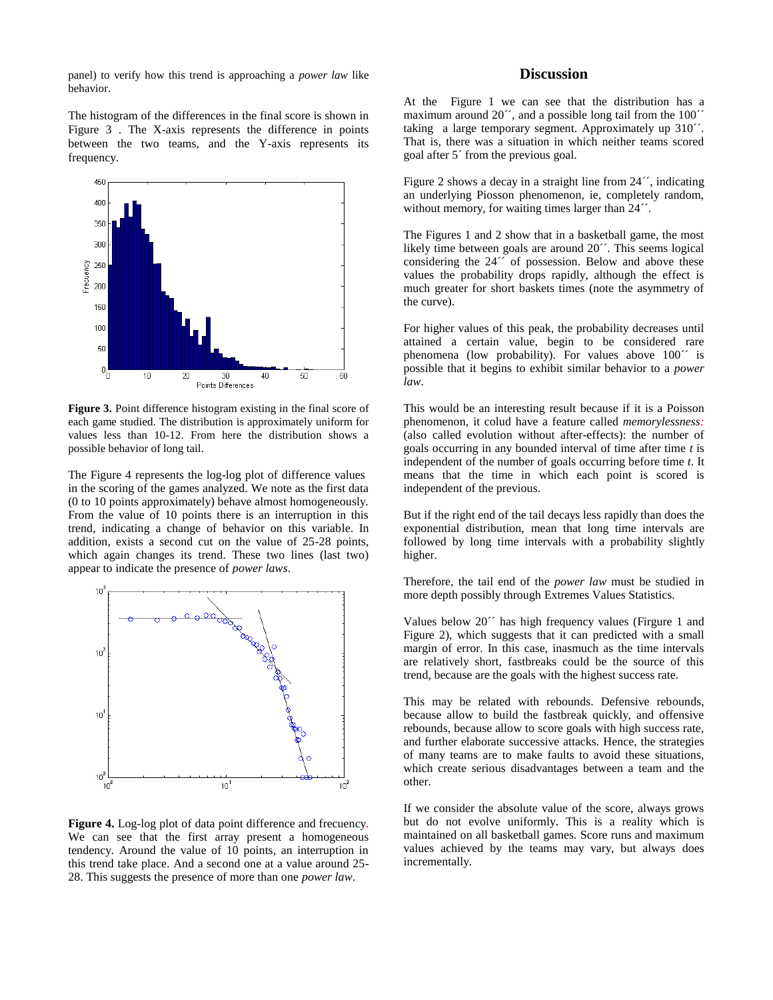panel) to verify how this trend is approaching a *power law* like behavior.

The histogram of the differences in the final score is shown in Figure 3 . The X-axis represents the difference in points between the two teams, and the Y-axis represents its frequency.



Figure 3. Point difference histogram existing in the final score of each game studied. The distribution is approximately uniform for values less than 10-12. From here the distribution shows a possible behavior of long tail.

The Figure 4 represents the log-log plot of difference values in the scoring of the games analyzed. We note as the first data (0 to 10 points approximately) behave almost homogeneously. From the value of 10 points there is an interruption in this trend, indicating a change of behavior on this variable. In addition, exists a second cut on the value of 25-28 points, which again changes its trend. These two lines (last two) appear to indicate the presence of *power laws*.



**Figure 4.** Log-log plot of data point difference and frecuency. We can see that the first array present a homogeneous tendency. Around the value of 10 points, an interruption in this trend take place. And a second one at a value around 25- 28. This suggests the presence of more than one *power law*.

## **Discussion**

At the Figure 1 we can see that the distribution has a maximum around 20<sup> $\degree$ </sup>, and a possible long tail from the 100 $\degree$ taking a large temporary segment. Approximately up 310´´. That is, there was a situation in which neither teams scored goal after 5´ from the previous goal.

Figure 2 shows a decay in a straight line from 24<sup> $\degree$ </sup>, indicating an underlying Piosson phenomenon, ie, completely random, without memory, for waiting times larger than  $24^{\prime\prime}$ .

The Figures 1 and 2 show that in a basketball game, the most likely time between goals are around 20´´. This seems logical considering the 24<sup> $\cdot$ </sup> of possession. Below and above these values the probability drops rapidly, although the effect is much greater for short baskets times (note the asymmetry of the curve).

For higher values of this peak, the probability decreases until attained a certain value, begin to be considered rare phenomena (low probability). For values above 100<sup> $\degree$ </sup> is possible that it begins to exhibit similar behavior to a *power law*.

This would be an interesting result because if it is a Poisson phenomenon, it colud have a feature called *memorylessness:* (also called evolution without after-effects): the number of goals occurring in any bounded interval of time after time *t* is independent of the number of goals occurring before time *t*. It means that the time in which each point is scored is independent of the previous.

But if the right end of the tail decays less rapidly than does the exponential distribution, mean that long time intervals are followed by long time intervals with a probability slightly higher.

Therefore, the tail end of the *power law* must be studied in more depth possibly through Extremes Values Statistics.

Values below 20´´ has high frequency values (Firgure 1 and Figure 2), which suggests that it can predicted with a small margin of error. In this case, inasmuch as the time intervals are relatively short, fastbreaks could be the source of this trend, because are the goals with the highest success rate.

This may be related with rebounds. Defensive rebounds, because allow to build the fastbreak quickly, and offensive rebounds, because allow to score goals with high success rate, and further elaborate successive attacks. Hence, the strategies of many teams are to make faults to avoid these situations, which create serious disadvantages between a team and the other.

If we consider the absolute value of the score, always grows but do not evolve uniformly. This is a reality which is maintained on all basketball games. Score runs and maximum values achieved by the teams may vary, but always does incrementally.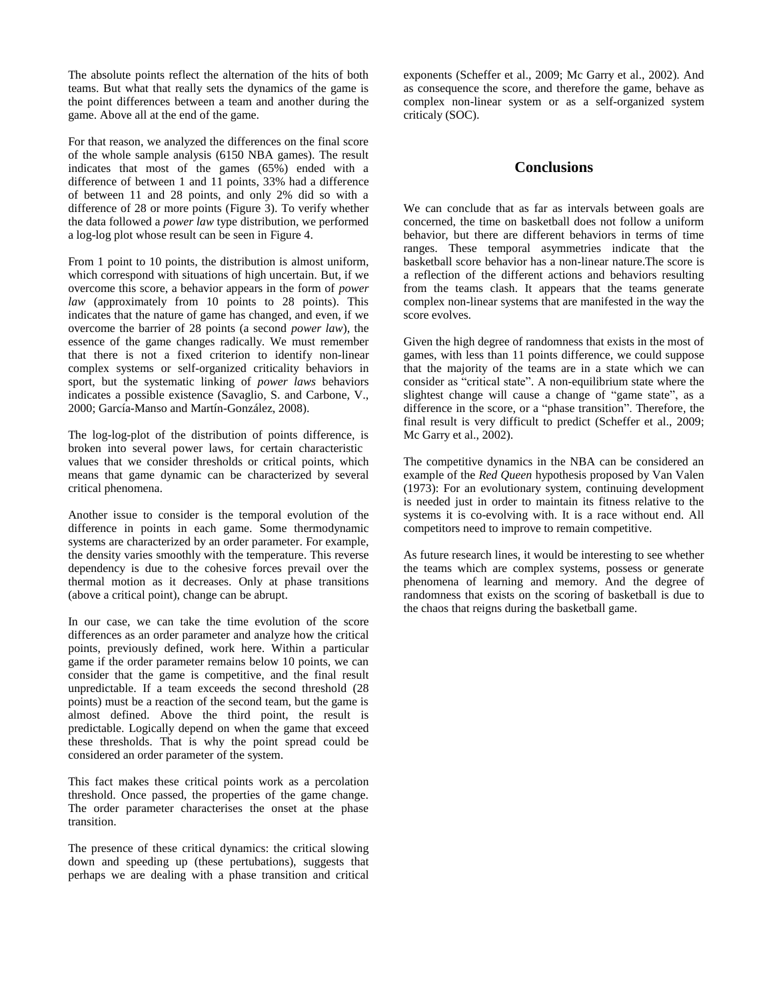The absolute points reflect the alternation of the hits of both teams. But what that really sets the dynamics of the game is the point differences between a team and another during the game. Above all at the end of the game.

For that reason, we analyzed the differences on the final score of the whole sample analysis (6150 NBA games). The result indicates that most of the games (65%) ended with a difference of between 1 and 11 points, 33% had a difference of between 11 and 28 points, and only 2% did so with a difference of 28 or more points (Figure 3). To verify whether the data followed a *power law* type distribution, we performed a log-log plot whose result can be seen in Figure 4.

From 1 point to 10 points, the distribution is almost uniform, which correspond with situations of high uncertain. But, if we overcome this score, a behavior appears in the form of *power law* (approximately from 10 points to 28 points). This indicates that the nature of game has changed, and even, if we overcome the barrier of 28 points (a second *power law*), the essence of the game changes radically. We must remember that there is not a fixed criterion to identify non-linear complex systems or self-organized criticality behaviors in sport, but the systematic linking of *power laws* behaviors indicates a possible existence (Savaglio, S. and Carbone, V., 2000; García-Manso and Martín-González, 2008).

The log-log-plot of the distribution of points difference, is broken into several power laws, for certain characteristic values that we consider thresholds or critical points, which means that game dynamic can be characterized by several critical phenomena.

Another issue to consider is the temporal evolution of the difference in points in each game. Some thermodynamic systems are characterized by an order parameter. For example, the density varies smoothly with the temperature. This reverse dependency is due to the cohesive forces prevail over the thermal motion as it decreases. Only at phase transitions (above a critical point), change can be abrupt.

In our case, we can take the time evolution of the score differences as an order parameter and analyze how the critical points, previously defined, work here. Within a particular game if the order parameter remains below 10 points, we can consider that the game is competitive, and the final result unpredictable. If a team exceeds the second threshold (28 points) must be a reaction of the second team, but the game is almost defined. Above the third point, the result is predictable. Logically depend on when the game that exceed these thresholds. That is why the point spread could be considered an order parameter of the system.

This fact makes these critical points work as a percolation threshold. Once passed, the properties of the game change. The order parameter characterises the onset at the phase transition.

The presence of these critical dynamics: the critical slowing down and speeding up (these pertubations), suggests that perhaps we are dealing with a phase transition and critical

exponents (Scheffer et al., 2009; Mc Garry et al., 2002). And as consequence the score, and therefore the game, behave as complex non-linear system or as a self-organized system criticaly (SOC).

# **Conclusions**

We can conclude that as far as intervals between goals are concerned, the time on basketball does not follow a uniform behavior, but there are different behaviors in terms of time ranges. These temporal asymmetries indicate that the basketball score behavior has a non-linear nature.The score is a reflection of the different actions and behaviors resulting from the teams clash. It appears that the teams generate complex non-linear systems that are manifested in the way the score evolves.

Given the high degree of randomness that exists in the most of games, with less than 11 points difference, we could suppose that the majority of the teams are in a state which we can consider as "critical state". A non-equilibrium state where the slightest change will cause a change of "game state", as a difference in the score, or a "phase transition". Therefore, the final result is very difficult to predict (Scheffer et al., 2009; Mc Garry et al., 2002).

The competitive dynamics in the NBA can be considered an example of the *Red Queen* hypothesis proposed by Van Valen (1973): For an evolutionary system, continuing development is needed just in order to maintain its fitness relative to the systems it is co-evolving with. It is a race without end. All competitors need to improve to remain competitive.

As future research lines, it would be interesting to see whether the teams which are complex systems, possess or generate phenomena of learning and memory. And the degree of randomness that exists on the scoring of basketball is due to the chaos that reigns during the basketball game.